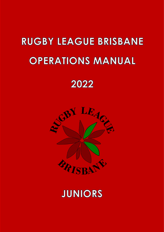# **RUGBY LEAGUE BRISBANE OPERATIONS MANUAL**

## 2022



## **JUNIORS**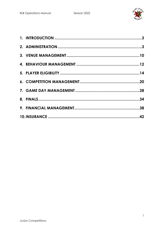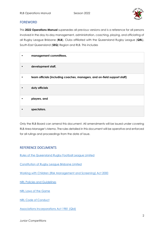

#### FOREWORD

This **2022 Operations Manual** supersedes all previous versions and is a reference for all persons involved in the day-to-day management, administration, coaching, playing, and officiating of all Rugby League Brisbane (**RLB**), Clubs affiliated with the Queensland Rugby League (**QRL**), South-East Queensland (**SEQ**) Region and RLB. This includes

| management committees,                                                   |
|--------------------------------------------------------------------------|
| development staff,                                                       |
| team officials (including coaches, managers, and on-field support staff) |
| duty officials                                                           |
| players, and                                                             |
| spectators.                                                              |

Only the RLB Board can amend this document. All amendments will be issued under covering RLB Area Manager's Memo. The rules detailed in this document will be operative and enforced for all rulings and proceedings from the date of issue.

#### REFERENCE DOCUMENTS

[Rules of the Queensland Rugby Football League Limited](https://www.qrl.com.au/clubhouse/resources/rules-and-policies/qrl-rules/)

[Constitution of Rugby League Brisbane Limited](https://781a37eb-2439-4df7-8027-996dae519650.filesusr.com/ugd/a0779d_c46347eb000a4b36b6f572cc108a07c2.pdf)

[Working with Children \(Risk Management and Screening\) Act 2000](https://www.legislation.qld.gov.au/view/pdf/inforce/current/act-2000-060)

[NRL Policies and Guidelines](https://www.playrugbyleague.com/policies/)

[NRL Laws of the Game](https://www.nrl.com/siteassets/operations/the-game/nrl-international-laws-of-the-game-2020.pdf)

[NRL Code of Conduct](https://www.playrugbyleague.com/media/9949/2020nrl-dev19_code_of_conduct_v4.pdf)

[Associations Incorporations Act 1981](https://www.legislation.qld.gov.au/view/pdf/inforce/current/act-1981-074) (Qld)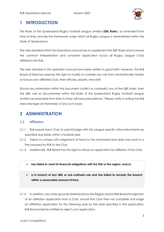

## <span id="page-3-0"></span>**1 INTRODUCTION**

The Rules of the Queensland Rugby Football League Limited (**QRL Rules**), as amended from time to time, provide the framework under which all Rugby League is administered within the State of Queensland.

The rules detailed within this Operations manual are to supplement the QRL Rules and to ensure the common interpretation and consistent application across all Rugby League Clubs affiliated with RLB.

The rules detailed in this operation manual have been written in good faith; however, the RLB Board of Directors reserves the right to modify or override any rule that unintentionally hinders or favours any affiliated Club, their officials, players, and staff.

Should any information within this document conflict or contradict any of the QRL Rules, then the QRL rule as documented within the Rules of the Queensland Rugby Football League Limited (as amended from time to time) will have precedence. Please notify in writing the RLB Area Manager (or Nominee) of any such issues

## <span id="page-3-1"></span>**2 ADMINISTRATION**

#### 2.1 Affiliation

- 2.1.1 RLB require each Club to submit/lodge with the League specific information/forms by specified due dates within a football year.
- 2.1.2 Failure to comply with lodgement of forms by the nominated due date may result in a fine imposed by RLB to the Club.
- 2.1.3 Additionally, RLB Board has the right to refuse an application for affiliation if the Club:
	- **has failed to meet its financial obligations with the RLB or the region; and/or**
	- **is in breach of any QRL or sub-ordinate rule and has failed to remedy the breach within a reasonable amount of time.**

2.1.4 In addition, any other grounds determined by the Region and/or RLB Board for rejection of an affiliation application from a Club, should that Club then not complete and lodge an affiliation application for the following year by the date specified in the application, RLB Board shall be entitled to reject such application.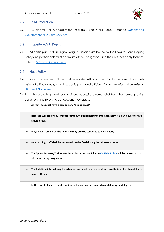

#### 2.2 Child Protection

2.2.1 RLB adopts Risk Management Program / Blue Card Policy. Refer to Queensland [Government Blue Card Services.](https://www.qld.gov.au/law/laws-regulated-industries-and-accountability/queensland-laws-and-regulations/regulated-industries-and-licensing/blue-card/system/system-explained)

#### 2.3 Integrity – Anti Doping

2.3.1 All participants within Rugby League Brisbane are bound by the League's Anti-Doping Policy and participants must be aware of their obligations and the rules that apply to them. Refer to [NRL Anti-Doping Policy](https://www.nrl.com/siteassets/operations/documentation/the-leagues-anti-doping-policy.pdf)

#### 2.4 Heat Policy

- 2.4.1 A common-sense attitude must be applied with consideration to the comfort and wellbeing of all individuals, including participants and officials. For further information, refer to [NRL Heat Guidelines](https://www.playrugbyleague.com/media/1936/heat-guidelines_with-changes1.pdf)
- 2.4.2 If the prevailing weather conditions necessitate some relief from the normal playing conditions, the following concessions may apply:
	- **All matches must have a compulsory "drinks-break"**
	- **Referees will call one (1) minute "timeout" period halfway into each half to allow players to take a fluid break**
	- **Players will remain on the field and may only be tendered to by trainers;**
	- **No Coaching Staff shall be permitted on the field during the "time-out period.**
	- **The Sports Trainers/Trainers National Accreditation Scheme [On Field Policy](https://www.playrugbyleague.com/media/4916/nrl-on-field-policy_v4_0.pdf?_ga=2.200069165.285067718.1616240900-1105502845.1611784090) will be relaxed so that all trainers may carry water;**
	- **The half-time interval may be extended and shall be done so after consultation of both match and team officials;**
	- **In the event of severe heat conditions, the commencement of a match may be delayed.**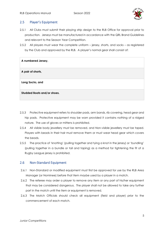

#### 2.5 Player's Equipment

- 2.5.1 All Clubs must submit their playing strip design to the RLB Office for approval prior to production. Jerseys must be manufactured in accordance with the QRL Brand Guidelines and relevant to the Season Year Competition.
- 2.5.2 All players must wear the complete uniform jersey, shorts, and socks as registered by the Club and approved by the RLB. A player's normal gear shall consist of:

| A numbered Jersey,          |
|-----------------------------|
| A pair of shorts,           |
| Long Socks, and             |
| Studded Boots and/or shoes. |

- 2.5.3 Protective equipment refers to shoulder pads, arm bands, rib covering, head gear and hip pads. Protective equipment may be worn provided it contains nothing of a ridged nature. The use of gloves or mittens is prohibited.
- 2.5.4 All visible body jewellery must be removed, and Non-visible jewellery must be taped. Players with beads in their hair must remove them or must wear head gear which covers the beads.
- 2.5.5 The practice of 'knotting' (pulling together and tying a knot in the jersey) or 'bundling' (pulling together in a bundle or tail and taping) as a method for tightening the fit of a Rugby League jersey is prohibited.

#### 2.6 Non-Standard Equipment

- 2.6.1 Non-Standard or modified equipment must first be approved for use by the RLB Area Manager (or Nominee) before that item maybe used by a player in a match.
- 2.6.2 The referee may order a player to remove any item or any part of his/her equipment that may be considered dangerous. The player shall not be allowed to take any further part in the match until the item or equipment is removed.
- 2.6.3 The Match Officials should check all equipment (field and player) prior to the commencement of each match.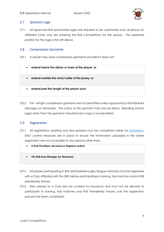

#### 2.7 Sponsors Logo

2.7.1 All approved RLB sponsorship logos are required to be sublimated onto all jerseys for affiliated Clubs who are entering the RLB Competitions for the season. The preferred position for the logo is the left sleeve.

#### 2.8 Compression Garments

- 2.8.1 A player may wear compression garments provided it does not:
	- **extend below the elbow or knee of the player; or**
	- **extend outside the neck/collar of the jersey; or**
	- **extend past the length of the player sock**
- 2.8.2 Full length compression garments are not permitted unless approved by the RLB Area Manager (or Nominee). The colour of the garment may only be black. Branding and/or logos other than the garment manufacturer's logo is not permitted.

#### 2.9 Registration

- 2.9.1 All registrations (existing and new players) must be completed online via [MySideline.](https://profile.mysideline.com.au/register/) Strict control measures are in place to ensure the information uploaded in the online registration are not accessible to any persons other than:
	- **A Club President, Secretary or Registrar and/or**
	- **The RLB Area Manager (or Nominee).**
- 2.9.2 All players participating in RLB administered rugby league matches must be registered with a Club affiliated with the QRL before participating in training, trial matches and/or RLB premiership fixtures.
- 2.9.3 New players to a Club are not covered by Insurance and must not be allowed to participate in training, trial matches and RLB Premiership fixtures until the registration process has been completed.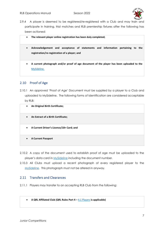

2.9.4 A player is deemed to be registered/re-registered with a Club and may train and participate in training, trial matches and RLB premiership fixtures after the following has been actioned:

| $\bullet$ | The relevant player online registration has been duly completed;                                                                |  |
|-----------|---------------------------------------------------------------------------------------------------------------------------------|--|
| $\bullet$ | Acknowledgement and acceptance of statements and information pertaining to the<br>registration/re-registration of a player; and |  |
| $\bullet$ | A current photograph and/or proof of age document of the player has been uploaded to the<br>MySideline.                         |  |

#### 2.10 Proof of Age

2.10.1 An approved 'Proof of Age' Document must be supplied by a player to a Club and uploaded to [MySideline.](https://profile.mysideline.com.au/register/) The following forms of Identification are considered acceptable by RLB:

| $\bullet$ | An Original Birth Certificate;           |
|-----------|------------------------------------------|
| $\bullet$ | An Extract of a Birth Certificate;       |
| $\bullet$ | A Current Driver's Licence/18+ Card; and |
| $\bullet$ | <b>A Current Passport</b>                |

- 2.10.2 A copy of the document used to establish proof of age must be uploaded to the player's data card in **[MySideline](https://profile.mysideline.com.au/register/)** including the document number.
- 2.10.3 All Clubs must upload a recent photograph of every registered player to the [MySideline.](https://profile.mysideline.com.au/register/) This photograph must not be altered in anyway.

#### 2.11 Transfers and Clearances

- 2.11.1 Players may transfer to an accepting RLB Club from the following:
	- **A QRL Affiliated Club (QRL Rules Part 4 –** 4.1 [Players](https://www.qrl.com.au/contentassets/fe165f50b22a4557bddabb6ca8e9d0a2/2021-part-4--review-261121-final.pdf) **is applicable)**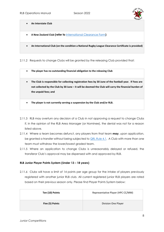

• **An Interstate Club**

- **A New Zealand Club (refer to** [International Clearance Form](https://www.playrugbyleague.com/play/international-clearance/)**)**
- **An International Club (on the condition a National Rugby League Clearance Certificate is provided)**

2.11.2 Requests to change Clubs will be granted by the releasing Club provided that:

- **The player has no outstanding financial obligation to the releasing Club**
- **The Club is responsible for collecting registration fees by 30 June of the football year. If Fees are not collected by the Club by 30 June – it will be deemed the Club will carry the financial burden of the unpaid fees; and**
- **The player is not currently serving a suspension by the Club and/or RLB.**
- 2.11.3 RLB may overturn any decision of a Club in not approving a request to change Clubs if, in the opinion of the RLB Area Manager (or Nominee), the denial was not for a reason listed above.
- 2.11.4 Where a team becomes defunct, any players from that team **may**, upon application, be granted a transfer without being subjected to **QRL Rule 4.1.** A Club with more than one team must withdraw the lower/lowest graded team.
- 2.11.5 Where an application to change Clubs is unreasonably delayed or refused, the transferor Club's approval may be dispensed with and approved by RLB.

#### **RLB Junior Player Points System (Under 13 – 18 years)**

2.11.6 Clubs will have a limit of 14 points per age group for the intake of players previously registered with another junior RLB club. All current registered junior RLB players are rated based on their previous season only. Please find Player Points System below:

| Ten (10) Points | Representative Player (HPC CC/MM) |
|-----------------|-----------------------------------|
| Five (5) Points | Division One Player               |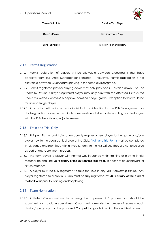

| Three (3) Points | $-1.7$ . The set of $-1.7$<br>Division Two Player |
|------------------|---------------------------------------------------|
| One (1) Player   | Division Three Player                             |
| Zero (0) Points  | Division Four and below                           |

#### 2.12 Permit Registration

- 2.12.1 Permit registration of players will be allowable between Clubs/teams that have approval from RLB Area Manager (or Nominee). However, Permit registration is not allowable between Clubs/teams playing in the same division/grade.
- 2.12.2 Permit registered players playing down may only play one (1) division down *i.e., an Under 16 Division 1 player registered player may only play with the affiliated Club in the Under 16 Division 2 and not in any lower division or age group.* Exception to this would be for an underage player.
- 2.12.3 A provision will be in place for individual consideration by the RLB Management for dual registration of any player. Such consideration is to be made in writing and be lodged with the RLB Area Manager (or Nominee).

#### 2.13 Train and Trial Only

- 2.13.1 RLB permits trial and train to temporarily register a new player to the game and/or a player new to the geographical area of the Club. [Train and Trial Forms](https://781a37eb-2439-4df7-8027-996dae519650.filesusr.com/ugd/a0779d_b20a0ea8ff194105bbb34459a32481f8.pdf) must be completed in full, signed and submitted within three (3) days to the RLB Office. They are not to be used as part of any recruitment process.
- 2.13.2 The form covers a player with normal QRL insurance whilst training or playing in trial matches up and until **28 February of the current football year**. It does not cover players for fixture matches.
- 2.13.3 A player must be fully registered to take the field in any RLB Premiership fixture. Any player registered to a previous Club must be fully registered by **28 February of the current football year** prior to training and/or playing.

#### 2.14 Team Nomination

2.14.1 Affiliated Clubs must nominate using the approved RLB process and should be submitted prior to closing deadlines. Clubs must nominate the number of teams in each division/age group and the proposed Competition grade in which they will field teams.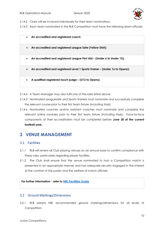

2.14.2 Clubs will be invoiced individually for their team nominations.

2.14.3 Each team nominated in the RLB Competition must have the following team officials:

#### • **An accredited and registered coach;**

- **An accredited and registered League Safe (Yellow Shirt);**
- **An accredited and registered League First Aid – (Under 6 to Under 15);**

• **An accredited and registered Level 1 Sports Trainer – (Under 16 to Opens);**

- **A qualified registered touch judge – (U13 to Opens)**
- 2.14.4 A Team Manager may also fulfil one of the roles listed above.
- 2.14.5 Nominated Leaguesafe and Sports Trainers must nominate and successfully complete the relevant course prior to their first team fixture (including trials).
- 2.14.6 Nominated coaches and/or assistant coaches must nominate and complete the relevant online modules prior to their first team fixture (including trials). Face-to-face components of their accreditation must be completed before **June 30 of the current football year.**

### <span id="page-10-0"></span>**3 VENUE MANAGEMENT**

#### 3.1 Facilities

- 3.1.1 RLB will review all Club playing venues on an annual basis to confirm compliance with these rules, particularly regarding player facilities.
- 3.1.2 The Club shall ensure that the venue nominated to host a Competition match is presented in an appropriate manner and has adequate security engaged in the interest of the comfort of the public and the welfare of match officials.

#### **For further information - refer to [NRL Facilities Guide](https://www.playrugbyleague.com/media/1941/nrl-preferred-facility-guidelines.pdf)**

#### 3.2 Ground Markings/Dimensions

3.2.1 RLB adopts NRL recommended ground markings/dimensions for all levels of Competition.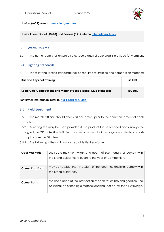

**Juniors (6-12) refer to [Junior League Laws.](https://www.playrugbyleague.com/laws-of-the-game-community/junior-league-laws-6-12s/)**

**Junior International (13-18) and Seniors (19+) refer to [International Laws.](https://www.playrugbyleague.com/laws-of-the-game-community/international-13splus-laws/)** 

#### 3.3 Warm Up Area

3.3.1 The home team shall ensure a safe, secure and suitable area is provided for warm up.

#### 3.4 Lighting Standards

3.4.1 The following lighting standards shall be required for training and competition matches:

| <b>Ball and Physical Training</b>                                 | <b>50 LUX</b>  |
|-------------------------------------------------------------------|----------------|
| Local Club Competitions and Match Practice (Local Club Standards) | <b>100 LUX</b> |

**For further information, refer to [NRL Facilities Guide.](https://www.playrugbyleague.com/media/1941/nrl-preferred-facility-guidelines.pdf)**

#### 3.5 Field Equipment

- 3.5.1 The Match Officials should check all equipment prior to the commencement of each match.
- 3.5.2 A kicking tee may be used provided it is a product that is licenced and displays the logo of the QRL, NSWRL or NRL. Such tees may be used for kicks at goal and starts or restarts of play from the 50m line.
- 3.5.3 The following is the minimum acceptable field equipment:

| <b>Goal Post Pads</b><br>shall be a maximum width and depth of 50cm and shall comply with<br>the Brand guidelines relevant to the year of Competition. |                                                                                                                                                          |
|--------------------------------------------------------------------------------------------------------------------------------------------------------|----------------------------------------------------------------------------------------------------------------------------------------------------------|
| <b>Corner Post Pads</b>                                                                                                                                | may be no wider than the width of the touch line and shall comply with<br>the Brand guidelines.                                                          |
| <b>Corner Posts</b>                                                                                                                                    | shall be placed at the intersection of each touch line and goal line. The<br>posts shall be of non-rigid material and shall not be less than 1.25m high. |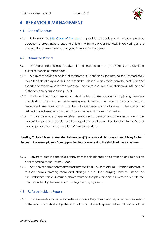

## <span id="page-12-0"></span>**4 BEHAVIOUR MANAGEMENT**

#### 4.1 Code of Conduct

4.1.1 RLB adopt the [NRL Code of Conduct.](https://www.playrugbyleague.com/media/9949/2020nrl-dev19_code_of_conduct_v4.pdf) It provides all participants - players, parents, coaches, referees, spectators, and officials – with simple rules that assist in delivering a safe and positive environment to everyone involved in the game.

#### 4.2 Dismissed Players

- 4.2.1 The match referee has the discretion to suspend for ten (10) minutes or to dismiss a player for 'on field' misconduct.
- 4.2.2 A player receiving a period of temporary suspension by the referee shall immediately leave the field of play and shall be met at the sideline by an official from the host Club and escorted to the designated 'sin bin' area. The player shall remain in that area until the end of the temporary suspension period.
- 4.2.3 The time of temporary suspension shall be ten (10) minutes and is for playing time only and shall commence after the referee signals time-on and/or when play recommences. Suspended time does not include the half-time break and shall cease at the end of the first period and resume upon the commencement of the second period.
- 4.2.4 If more than one player receives temporary suspension from the one incident, the players' temporary suspension shall be equal and shall be entitled to return to the field of play together after the completion of their suspension.

**Hosting Clubs – it is recommended to have two (2) separate sin bin areas to avoid any further issues in the event players from opposition teams are sent to the sin bin at the same time.**

- 4.2.5 Players re-entering the field of play from the sin bin shall do so from an onside position after reporting to the Touch Judge.
- 4.2.6 Any player permanently dismissed from the field (i.e., sent-off), must immediately return to their team's dressing room and change out of their playing uniform. Under no circumstances can a dismissed player return to the players' bench unless it is outside the area bounded by the fence surrounding the playing area.

#### 4.3 Referee Incident Report

4.3.1 The referee shall complete a Referee Incident Report immediately after the completion of the match and shall lodge the form with a nominated representative of the Club of the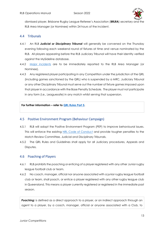

dismissed player, Brisbane Rugby League Referee's Association (**BRLRA**) secretary and the RLB Area Manager (or Nominee) within 24 hours of the incident.

#### 4.4 Tribunals

- 4.4.1 An RLB *Judicial or Disciplinary Tribunal* will generally be convened on the Thursday evening following each weekend round of fixtures at time and venue nominated by the RLB. All players appearing before the RLB Judiciary Tribunal will have their identity verified against the MySideline database.
- 4.4.2 [Major incidents](https://www.rugbyleaguebrisbane.com.au/_files/ugd/a0779d_2b4b212b6795419c9a89add91790d8b6.pdf) are to be immediately reported to the RLB Area Manager (or Nominee).
- 4.4.3 Any registered player participating in any Competition under the jurisdiction of the QRL (including games sanctioned by the QRL) who is suspended by a MRC, Judiciary Tribunal or any other Disciplinary Tribunal must serve out the number of fixture games imposed upon that player in accordance with the Base Penalty Schedule. The player must not participate in any form (i.e., Leaguesafe) in any match whilst serving that suspension.

#### **For further information – refer to [QRL Rules Part 5.](https://www.qrl.com.au/contentassets/5082282f19124e0cab5852f0b1815557/qrl-rules-part-5.pdf)**

#### 4.5 Positive Environment Program (Behaviour Campaign)

- 4.5.1 RLB will adopt the Positive Environment Program (PEP) to improve behavioural issues. This will enforce the existing [NRL Code of Conduct](https://www.playrugbyleague.com/media/9949/2020nrl-dev19_code_of_conduct_v4.pdf) and provide tougher penalties to the Match Review Committee, Judicial and Disciplinary Tribunals.
- 4.5.2 The QRL Rules and Guidelines shall apply for all Judiciary procedures, Appeals and Disputes.

#### 4.6 Poaching of Players

- 4.6.1 RLB prohibits the poaching or enticing of a player registered with any other Junior rugby league football club or team.
- 4.6.2 No coach, manager, official nor anyone associated with a junior rugby league football club or team, shall poach, or entice a player registered with any other rugby league club in Queensland. This means a player currently registered or registered in the immediate past season.

**Poaching:** is defined as a direct approach to a player, or an indirect approach through an agent to a player, by a coach, manager, official or anyone associated with a Club, to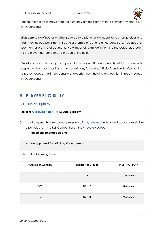

entice that player to move from the club they are registered with to play for any other Club in Queensland.

**Enticement:** is defined as anything offered to a player as an incentive to change clubs and that may include but is not limited to a promise of better playing conditions, free apparel, payment or promise of payment. Notwithstanding this definition, it is the actual approach to the player that constitutes a breach of the Rule.

Penalty: A coach found guilty of poaching a player will face a penalty, which may include suspension from participating in the game in any form. Any Official found guilty of poaching a player faces a maximum penalty of exclusion from holding any position in rugby league in Queensland.

## <span id="page-14-0"></span>**5 PLAYER ELIGIBILITY**

#### 5.1 Junior Eligibility

#### **Refer to [QRL Rules Part 4](https://www.qrl.com.au/contentassets/fe165f50b22a4557bddabb6ca8e9d0a2/qrl-rules-part-4.pdf) – 4.1.3 Age Eligibility**

- 5.1.1 All players who are correctly registered in [MySideline](https://profile.mysideline.com.au/register/) (Under 6 and above) are eligible to participate in the RLB Competitions if they have uploaded:
	- **an official photograph and**
	- **an approved "proof of age" document.**

Refer to the following table:

| * Age as of 1 January | <b>Eligible Age Groups</b> | <b>MUST NOT PLAY</b> |
|-----------------------|----------------------------|----------------------|
| $4*$                  | U <sub>6</sub>             | U7 or above          |
| $5***$                | U6, U7                     | U8 or above          |
| 6                     | U7, U8                     | U9 or above          |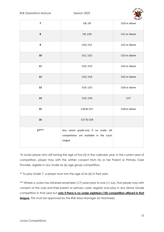

| $\overline{\mathbf{z}}$ | U8, U9                                                                                    | U10 or above |
|-------------------------|-------------------------------------------------------------------------------------------|--------------|
| 8                       | U9, U10                                                                                   | U11 or above |
| $\mathbf{9}$            | U10, U11                                                                                  | U12 or above |
| ${\bf 10}$              | U11, U12                                                                                  | U13 or above |
| 11                      | U12, U13                                                                                  | U14 or above |
| 12                      | U13, U14                                                                                  | U15 or above |
| 13                      | U14, U15                                                                                  | U16 or above |
| 14                      | U15, U16                                                                                  | U17          |
| 15                      | U16 & U17                                                                                 | U18 or above |
| 16                      | U17 & U18                                                                                 |              |
| $17***$                 | Any senior grade only if no under 18<br>competitions are available in the Local<br>League |              |

\*A Junior player who will turning the age of five (5) in the calendar year, in the current year of competition, player may with the written consent from his or her Parent or Primary Care Provider, register in any Under six (6) age group competition.

\*\* To play Under 7, a player must turn the age of six (6) in that year.

\*\*\* Where a Junior has attained seventeen (17) years prior to one (1) July, that player may with consent of the club and their parent or primary carer, register and play in any Senior Grade competition in that year but **only if there is no under eighteen (18) competition offered in that league.** This must be approved by the RLB Area Manager (or Nominee).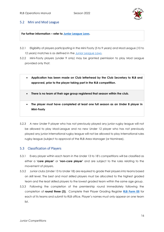

#### 5.2 Mini and Mod League

**For further information – refer to [Junior League Laws.](https://www.playrugbyleague.com/laws-of-the-game-community/junior-league-laws-6-12s/)**

- 5.2.1 Eligibility of players participating in the Mini Footy (5 to 9 years) and Mod League (10 to 12 years) matches is as defined in the [Junior League Laws.](https://www.playrugbyleague.com/laws-of-the-game-community/junior-league-laws-6-12s/)
- 5.2.2 Mini-Footy players (under 9 only) may be granted permission to play Mod League provided only that:
	- **Application has been made on Club letterhead by the Club Secretary to RLB and approved, prior to the player taking part in the RLB competition.**
	- **There is no team of their age group registered that season within the club.**
	- **The player must have completed at least one full season as an Under 8 player in Mini-Footy**
- 5.2.3 A new Under 9 player who has not previously played any junior rugby league will not be allowed to play Mod-League and no new Under 12 player who has not previously played any junior international rugby league will not be allowed to play International rules rugby league (subject to approval of the RLB Area Manager (or Nominee).

#### 5.3 Classification of Players

- 5.3.1 Every player within each team in the Under 13 to 18's competitions will be classified as either a **'core player'** or **'non-core player'** and are subject to the rules relating to the movement of players.
- 5.3.2 Junior clubs (Under 13 to Under 18) are required to grade their players into teams based on skill level. The best and most skilled players must be allocated to the highest graded team and the least skilled players to the lowest graded team within the same age group.
- 5.3.3 Following the completion of the premiership round immediately following the completion of **round three (3).** Complete their Player Grading Register **[RLB Form 05](https://781a37eb-2439-4df7-8027-996dae519650.filesusr.com/ugd/a0779d_45185eab8fd94f889a766c0a4e38e32a.pdf)** for each of its teams and submit to RLB office. Player's names must only appear on one team list.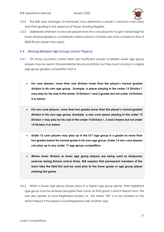

- 5.3.4 The RLB Area Manager (or Nominee) may determine a player's core/non-core status and their grading in the absence of Player Grading Register.
- 5.3.5 Deliberate attempts to exclude players from the core player list to gain advantage for lower divisions/grades is considered a serious breach of these rules and a maximum fine of \$500.00 per player may apply.

#### 5.4 Moving Between Age Groups (Junior Players)

- 5.4.1 On those occasions where there are insufficient players available, lower age group players may be used in the premiership fixtures and finals, but they must not play in a higher age group graded competition that is:
	- **For core players, more than one division lower than the player's normal graded division in his own age group. Example, a player playing in the under 13 Division 1 may play for his club in the Under 14 Division 1 and 2 grades but not under 14 Division 3 or below.**
	- **For non-core players, more than two grades lower than the player's normal graded division in his own age group. Example, a non-core player playing in the under 13 Division 1 may play for his club in the under 14 Division 1, 2 and 3 teams but not under 14 Division 4 or below.**
	- **Under 16 core players may play up in the U17 age group in a grade no more than two grades below his normal grade in his own age group. Under 16 non-core players can play up in any under 17 age group competition.**
	- **Where lower division or lower age group players are being used as temporary reserves during fixtures and/or finals, RLB requires that permanent members of the team take the field first and be used prior to the lower grade or age group player entering the game.**
- 5.4.2 When a lower age group player plays in a higher age group game, their registered age group must be entered alongside their name on that game's Match Report form. This rule also applies to Dual Registered players i.e., the initials 'DR' is to be notated on the Match Report if the player is Dual Registered with another club.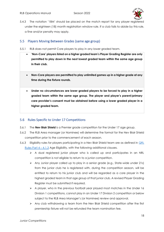

5.4.3 The notation '18M' should be placed on the match report for any player registered under the eighteen (18) month registration window rule. If a club fails to abide by this rule, a fine and/or penalty may apply.

#### 5.5 Players Moving Between Grades (same age group)

- 5.5.1 RLB does not permit Core players to play in any lower graded team.
	- **'Non-Core' players listed on a higher graded team's Player Grading Register are only permitted to play down in the next lowest graded team within the same age group in their club.**
	- **Non-Core players are permitted to play unlimited games up in a higher grade at any time during the fixture rounds.**
	- **Under no circumstances are lower graded players to be forced to play in a higher graded team within the same age group. The player and player's parent/primary care provider's consent must be obtained before using a lower graded player in a higher graded team.**

#### 5.6 Rules Specific to Under 17 Competitions

- 5.6.1 The **Nev Blair Shield** is a Premier grade competition for the Under 17 age group.
- 5.6.2 The RLB Area manager (or Nominee) will determine the format for the Nev Blair Shield competition prior to the commencement of each season.
- 5.6.3 Eligibility rules for players participating in a Nev Blair Shield team are as defined in **QRL** [Rules Part 4](https://www.qrl.com.au/contentassets/fe165f50b22a4557bddabb6ca8e9d0a2/qrl-rules-part-4.pdf) – 4.1.3 Age Eligibility, with the following additional clauses.
	- $\triangleright$  A dual registered junior player who is called up and participates in an NRL competition is not eligible to return to a junior competition.
	- ➢ Any Junior player called up to play in a senior grade (e.g., State-wide under 21s) from the junior club he is registered with, during the competition season, will be entitled to return to his junior club and will be regarded as a core player in the highest graded team in that age group of that junior club. A revised Player Grading Register must be submitted if required.
	- $\triangleright$  A player, who in the previous football year played most matches in the Under 16 Division 1 competitions, cannot play in an Under 17 Division 2 competition or below subject to the RLB Area Manager's (or Nominee) review and approval.
	- $\triangleright$  Any club withdrawing a team from the Nev Blair Shield competition after the first premiership fixture will not be refunded the team nomination fee.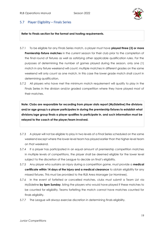

#### 5.7 Player Eligibility – Finals Series

**Refer to Finals section for the format and hosting requirements.**

- 5.7.1 To be eligible for any Finals Series match, a player must have **played three (3) or more Premiership fixture matches** in the current season for their club prior to the completion of the final round of fixtures as well as satisfying other applicable qualification rules. For the purposes of determining the number of games played during the season, only one (1) match in any fixture weekend will count; multiple matches in different grades on the same weekend will only count as one match. In this case the lower grade match shall count in determining qualification.
- 5.7.2 All players who have met the minimum match requirement will qualify to play in the Finals Series in the division and/or graded competition where they have played most of their matches.

**Note: Clubs are responsible for recording from player stats report (MySideline) the divisions and/or age group/s a player participates in during the premiership fixtures to establish what divisions/age group finals a player qualifies to participate in, and such information must be relayed to the coach of the player/team involved.**

- 5.7.3 A player will not be eligible to play in two levels of a Final Series scheduled on the same weekend except where the lower-level team has played earlier than the higher-level team on that weekend.
- 5.7.4 If a player has participated in an equal amount of premiership competition matches in multiple levels of competitions, the player shall be deemed eligible for the lower level subject to the discretion of the League to decide on final's eligibility.
- 5.7.5 Any player who sustains an injury during a competition game, must provide a **medical certificate within 14 days of the injury and a medical clearance** to obtain eligibility for any missed fixtures. This must be provided to the RLB Area Manager (or Nominee).
- 5.7.6 In the event of forfeited or cancelled matches, clubs must submit a Team List via MySideline **by 5pm Sunday**, listing the players who would have played if these matches to be counted for eligibility. Teams forfeiting the match cannot have matches counted for finals eligibility.
- 5.7.7 The League will always exercise discretion in determining finals eligibility.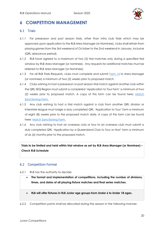

## <span id="page-20-0"></span>**6 COMPETITION MANAGEMENT**

#### 6.1 Trials

- 6.1.1 For preseason and post season trials, other than intra club trials which may be approved upon application to the RLB Area Manager (or Nominee), clubs shall refrain from playing games from the 3rd weekend of October to the 2nd weekend in January, inclusive (QRL abeyance period).
- 6.1.2 RLB have agreed to a maximum of two (2) trial matches only during a specified trial window by RLB Area Manager (or nominee). Any requests for additional matches must be referred to RLB Area Manager (or Nominee).
- 6.1.3 For all RLB Trials Requests, clubs must complete and submit [Form 14](https://qrlcomau.sharepoint.com/sites/SEQRegion/Shared%20Documents/Rugby%20League%20Brisbane/Forms/Forms%202022/PDF%20Versions/RLB%20Form%2014%20-%20Application%20to%20Participate%20Trial%20Match.pdf) to Area Manager (or nominee) a minimum of two (2) weeks prior to proposed match.
- 6.1.4 Clubs wishing to host a preseason or post season trial match against another club within the QRL SEQ Region must submit a completed 'Application to Tour form' a minimum of two (2) weeks prior to proposed match. A copy of this form can be found here: Match [Sanctioning Form.](https://www.cognitoforms.com/QueenslandRugbyLeague1/matchsanctioningform2)
- 6.1.5 Any club wishing to host a trial match against a club from another QRL division or Interstate league must lodge a duly completed QRL 'Application to Tour' form a minimum of eight (8) weeks prior to the proposed match date. A copy of this form can be found here: [Match Sanctioning Form.](https://www.cognitoforms.com/QueenslandRugbyLeague1/matchsanctioningform2)
- 6.1.6 Any club wishing to host an overseas club or tour to an overseas club must submit a duly completed QRL 'Application by a Queensland Club to Tour or Host' form a minimum of six (6) months prior to the proposed match.

**Trials to be limited and held within trial window as set by RLB Area Manager (or Nominee) – Check RLB Schedule**

#### 6.2 Competition Format

- 6.2.1 RLB has the authority to decide:
	- **The format and implementation of competitions, including the number of divisions, times, and dates of all playing fixture matches and final series matches.**
	- **RLB will offer fixtures in RLB Junior age groups from Under 6 to Under 18 ages.**
- 6.2.2 Competition points shall be allocated during the season in the following manner: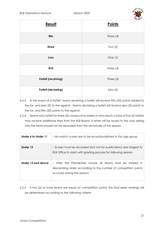

|                            | -name       |
|----------------------------|-------------|
| Result                     | Points      |
| Win                        | Three $(3)$ |
| Draw                       | Two $(2)$   |
| Loss                       | One $(1)$   |
| <b>BYE</b>                 | Three $(3)$ |
| Forfeit (receiving)        | Three $(3)$ |
| <b>Forfeit (declaring)</b> | Zero(0)     |

6.2.3 In the event of a Forfeit, teams receiving a forfeit will receive fifty (50) points added to the for, and zero (0) to the against. Teams declaring a forfeit will receive zero (0) points to the for, and fifty (50) points to the against.

6.2.4 Teams who forfeit for three (3) consecutive weeks or who reach a total of five (5) forfeits may receive additional fines from the RLB Board. A letter will be issued to the club asking why the team should not be excluded from the remainder of the season.

| Under 6 to Under 11 | - No match scores are to be record/published in this age group.                                                                                             |
|---------------------|-------------------------------------------------------------------------------------------------------------------------------------------------------------|
| Under 12            | - Scores must be recorded (but not for publication) and lodged to<br>RLB Office to assist with grading process for following season.                        |
| Under 13 and above  | - After the Premiership rounds all teams shall be ranked in<br>descending order according to the number of competition points<br>accrued during the season. |

6.2.5 If two (2) or more teams are equal on competition points, the final series rankings will be determined according to the following criteria: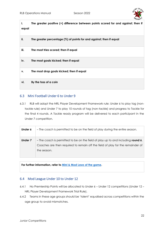

| i.<br>equal | The greater positive (+) difference between points scored for and against; then if |
|-------------|------------------------------------------------------------------------------------|
| ii.         | The greater percentage $(\%)$ of points for and against; then if equal             |
| iii.        | The most tries scored; then if equal                                               |
| iv.         | The most goals kicked; then if equal                                               |
| ۷.          | The most drop goals kicked; then if equal                                          |
| vi.         | By the toss of a coin                                                              |

#### 6.3 Mini Football Under 6 to Under 9

6.3.1 RLB will adopt the NRL Player Development Framework rule: Under 6 to play tag (nontackle rule) and Under 7 to play 10 rounds of tag (non-tackle) and progress to Tackle for the final 4 rounds. A Tackle ready program will be delivered to each participant in the Under 7 competition.

| Under 6 | - The coach is permitted to be on the field of play during the entire season.                                                                                                     |
|---------|-----------------------------------------------------------------------------------------------------------------------------------------------------------------------------------|
| Under 7 | - The coach is permitted to be on the field of play up to and including round 6.<br>Coaches are then required to remain off the field of play for the remainder of<br>the season. |

**For further information, refer to [Mini & Mod Laws of the game.](https://www.playrugbyleague.com/laws-of-the-game-community/junior-league-laws-6-12s/)** 

#### 6.4 Mod League Under 10 to Under 12

- 6.4.1 No Premiership Points will be allocated to Under 6 Under 12 competitions (Under 12 NRL Player Development Framework Trial Rule).
- 6.4.2 Teams in these age groups should be 'talent' equalised across competitions within the age group to avoid mismatches.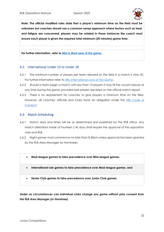

**Note: The official modified rules state that a player's minimum time on the field must be unbroken but coaches should use a common-sense approach where factors such as heat, and fatigue are concerned; players may be rotated in these instances the coach must ensure each player is given the required total minimum (20 minutes) game time.**

**For further information, refer to [Mini & Mod Laws of the game.](https://www.playrugbyleague.com/laws-of-the-game-community/junior-league-laws-6-12s/)**

#### 6.5 International Under 13 to Under 18

- 6.5.1 The minimum number of players per team allowed on the field in a match is nine (9). For further information refer to [NRL International Laws of the Game.](https://www.playrugbyleague.com/laws-of-the-game-community/international-13splus-laws/)
- 6.5.2 Should a team begin a match with less than 13 players it may fill the vacant places at any time during the game, provided late players are listed on the official match report.
- 6.5.3 There is no requirement for coaches to give players a minimum time on the field. However, all coaches, officials and Clubs have an obligation under the [NRL Code of](https://www.playrugbyleague.com/media/9949/2020nrl-dev19_code_of_conduct_v4.pdf)  [Conduct.](https://www.playrugbyleague.com/media/9949/2020nrl-dev19_code_of_conduct_v4.pdf)

#### 6.6 Match Scheduling

- 6.6.1 Match days and times will be as determined and published by the RLB office. Any match alterations inside of fourteen (14) days shall require the approval of the opposition club and RLB.
- 6.6.2 Night games must commence no later than 8.30pm unless approval has been granted by the RLB Area Manager (or Nominee).
	- **Mod-league games to take precedence over Mini-league games,**
	- **International rule games to take precedence over Mod-league games, and**
	- **Senior Club games to take precedence over Junior Club games.**

*Under no circumstances can individual clubs change any game without prior consent from the RLB Area Manager (or Nominee).*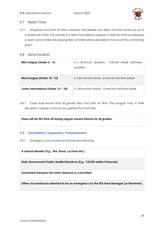

#### 6.7 Match Times

6.7.1 All games must start on time; however, the referee can delay the start of play by up to a maximum of ten (10) minutes if a team has failed to appear. If after this time has elapsed a team cannot take the playing field; a forfeit will be declared in favour of the conforming team.

#### 6.8 Game Duration

| Mini League (Under $6 - 9$ )         | 4 x 8-minute quarters, 1-minute break between<br>quarters. |
|--------------------------------------|------------------------------------------------------------|
| Mod League (Under 10 -12)            | 2 x 20-minute halves, 5-minute half time break             |
| Junior International (Under 13 - 18) | 2 x 30-minute halves, 10-minute half time break            |

6.8.1 Clubs shall ensure that all games they host start on time. The League may, in their discretion, impose a fine for any games that start late.

**There will be NO time off during regular season fixtures for all grades.**

#### 6.9 Cancellation, Suspension, Postponement

6.9.1 Emergency circumstances include the following:

**A natural disaster (E.g., Fire, flood, cyclone etc)**

**State Government Public Health Directives (E.g**., **COVID Safety Protocols)**

**Scheduled transport has been delayed or cancelled;**

**Other circumstances deemed to be an emergency by the RLB Area Manager (or Nominee).**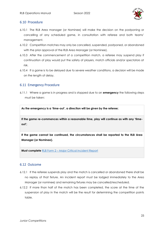

#### 6.10 Procedure

- 6.10.1 The RLB Area manager (or Nominee) will make the decision on the postponing or cancelling of any scheduled game, in consultation with referee and both teams' management.
- 6.10.2 Competition matches may only be cancelled, suspended, postponed, or abandoned with the prior approval of the RLB Area Manager (or Nominee).
- 6.10.3 After the commencement of a competition match, a referee may suspend play if continuation of play would put the safety of players, match officials and/or spectators at risk.
- 6.10.4 If a game is to be delayed due to severe weather conditions, a decision will be made on the length of delay.

#### 6.11 Emergency Procedure

6.11.1 Where a game is in progress and is stopped due to an **emergency** the following steps must be taken:

**As the emergency is a 'time-out', a direction will be given by the referee;**

**If the game re-commences within a reasonable time, play will continue as with any 'timeout';**

**If the game cannot be continued, the circumstances shall be reported to the RLB Area Manager (or Nominee).** 

**Must complete** RLB Form 2 – [Major Critical Incident Report](https://www.rugbyleaguebrisbane.com.au/_files/ugd/a0779d_2b4b212b6795419c9a89add91790d8b6.pdf)

#### 6.12 Outcome

- 6.12.1 If the referee suspends play and the match is cancelled or abandoned there shall be no replay of that fixture. An incident report must be lodged immediately to the Area Manager (or nominee) and remaining fixtures may be cancelled/rescheduled.
- 6.12.2 If more than half of the match has been completed, the score at the time of the suspension of play in the match will be the result for determining the competition points table.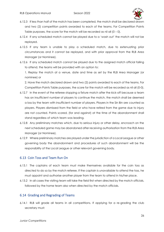

- 6.12.3 If less than half of the match has been completed, the match shall be declared drawn and two (2) competition points awarded to each of the teams. For Competition Points Table purposes, the score for the match will be recorded as nil all  $(0 - 0)$ .
- 6.12.4 If any scheduled match cannot be played due to a 'wash out' the match will not be replayed.
- 6.12.5 If any team is unable to play a scheduled match, due to extenuating prior circumstances and it cannot be replayed, and with prior approval from the RLB Area Manager (or Nominee).
- 6.12.6 If any scheduled match cannot be played due to the assigned match official failing to attend, the teams will be provided with an option to:

1. Replay the match at a venue, date and time as set by the RLB Area Manager (or nominee) or

2. Have the match declared drawn and two (2) points awarded to each of the teams. For Competition Points Table purposes, the score for the match will be recorded as nil all (0-0).

- 6.12.7 In the event of the referee stopping a fixture match after the kick-off because a team has an insufficient number of players to continue the match, the match shall be deemed a loss by the team with insufficient number of players. Players in the Sin Bin are counted as players. Players dismissed from the field or who have retired from the game due to injury are not counted. Points scored, (for and against) at the time of the abandonment shall stand regardless of which team was leading.
- 6.12.8 Any preliminary matches which, due to serious injury or other delay, encroach on the next scheduled game may be abandoned after receiving authorisation from the RLB Area Manager (or Nominee).
- 6.12.9 Where preliminary matches are played under the jurisdiction of a Local League or other governing body the abandonment and procedures of such abandonment will be the responsibility of the Local League or other relevant governing body.

#### 6.13 Coin Toss and Team Run On

- 6.13.1 The captains of each team must make themselves available for the coin toss as directed to do so by the match referee. If the captain is unavailable to attend the toss, he must appoint and authorise another player from the team to attend in his/her place.
- 6.13.2 In all cases the visiting team will take the field first when directed by the match officials, followed by the home team also when directed by the match officials.

#### 6.14 Grading and Regrading of Teams

6.14.1 RLB will grade all teams in all competitions. If applying for a re-grading the club secretary must: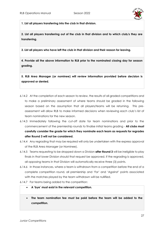

**1. List all players transferring into the club in that division.**

**2. List all players transferring out of the club in that division and to which club/s they are transferring.** 

**3. List all players who have left the club in that division and their reason for leaving.**

**4. Provide all the above information to RLB prior to the nominated closing day for season grading.**

**5. RLB Area Manager (or nominee) will review information provided before decision is approved or denied.** 

- 6.14.2 At the completion of each season to review, the results of all graded competitions and to make a preliminary assessment of where teams should be graded in the following season based on the assumption that all players/teams will be returning. This preassessment will allow RLB to make informed decisions when reviewing each club's list of team nominations for the new season.
- 6.14.3 Immediately following the cut-off date for team nominations and prior to the commencement of the premiership rounds to finalise initial teams grading - **All clubs must carefully consider the grade for which they nominate each team as requests for regrades after Round 3 will not be considered.**
- 6.14.4 Any regrading that may be required will only be undertaken with the express approval of the RLB Area Manager (or Nominee).
- 6.14.5 Teams requesting to be dropped down a Division **after Round 3** will be ineligible to play finals in that lower Division should that request be approved. If the regrading is approved, all opposing teams in that Division will automatically receive three (3) points.
- 6.14.6 In those instances, where a team is withdrawn from a competition before the end of a complete competition round, all premiership and 'For' and 'Against' points associated with the matches played by the team withdrawn will be nullified.
- 6.14.7 For teams being added to the competition:
	- **A 'bye' must exist in the relevant competition.**
	- **The team nomination fee must be paid before the team will be added to the competition.**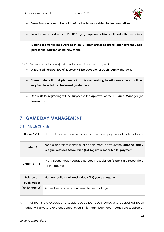

- **Team insurance must be paid before the team is added to the competition.**
- **New teams added to the U13 – U18 age group competitions will start with zero points.**
- **Existing teams will be awarded three (3) premiership points for each bye they had prior to the addition of the new team.**

6.14.8 For teams (juniors only) being withdrawn from the competition:

- **A team withdrawal fee of \$200.00 will be payable for each team withdrawn.**
- **Those clubs with multiple teams in a division seeking to withdraw a team will be required to withdraw the lowest graded team.**
- **Requests for regrading will be subject to the approval of the RLB Area Manager (or Nominee).**

## <span id="page-28-0"></span>**7 GAME DAY MANAGEMENT**

#### 7.1 Match Officials

| Under 6 - 11               | Host club are responsible for appointment and payment of match officials                                                                          |
|----------------------------|---------------------------------------------------------------------------------------------------------------------------------------------------|
| Under 12                   | Zone allocators responsible for appointment, however the <b>Brisbane Rugby</b><br>League Referees Association (BRLRA) are responsible for payment |
| Under 13 - 18              | The Brisbane Rugby League Referees Association (BRLRA) are responsible<br>for the payment                                                         |
| Referee or<br>Touch judges | Not Accredited – at least sixteen (16) years of age; or                                                                                           |
| (Junior games)             | Accredited – at least fourteen (14) years of age.                                                                                                 |

7.1.1 All teams are expected to supply accredited touch judges and accredited touch judges will always take precedence, even if this means both touch judges are supplied by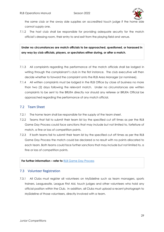

the same club or the away side supplies an accredited touch judge if the home side cannot supply one.

7.1.2 The host club shall be responsible for providing adequate security for the match official's dressing room, their entry to and exit from the playing field and venue.

**Under no circumstances are match officials to be approached, questioned, or harassed in any way by club officials, players, or spectators either during, or after a match.**

- 7.1.3 All complaints regarding the performance of the match officials shall be lodged in writing through the complainant's club in the first instance. The club executive will then decide whether to forward the complaint onto the RLB Area Manager (or nominee).
- 7.1.4 All written complaints must be lodged in the RLB Office by close of business no more than two (2) days following the relevant match. Under no circumstances are written complaints to be sent to the BRLRA directly nor should any referee or BRLRA Official be approached regarding the performance of any match official.

#### 7.2 Team Sheet

- 7.2.1 The home team shall be responsible for the supply of the team sheet.
- 7.2.2 Teams that fail to submit their team list by the specified cut off times as per the RLB Game Day Process could face sanctions that may include but not limited to, forfeiture of match, a fine or loss of competition points.
- 7.2.3 If both teams fail to submit their team list by the specified cut off times as per the RLB Game Day Process the match could be declared a no result with no points allocated to each team. Both teams could face further sanctions that may include but not limited to, a fine or loss of competition points.

#### **For further information – refer to** [RLB Game Day Process](https://www.rugbyleaguebrisbane.com.au/_files/ugd/a0779d_82f04223c25d40b2b880323405aa33ac.pdf)

#### 7.3 Volunteer Registration

7.3.1 All Clubs must register all volunteers on MySideline such as team managers, sports trainers, Leaguesafe, League First Aid, touch judges and other volunteers who hold any official position within the Club. In addition, all Clubs must upload a recent photograph to MySideline of those volunteers, directly involved with a team.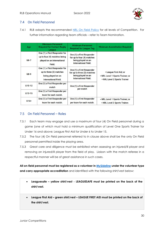

#### 7.4 On Field Personnel

7.4.1 RLB adopts the recommended [NRL On Field Policy](https://www.playrugbyleague.com/media/11096/nrl-on-field-policy_p005_v40_21022019-1.pdf?_ga=2.186502305.928592808.1639458492-1851551710.1633482972) for all levels of Competition. For further information regarding team officials – refer to Team Nomination.

| Age         | <b>Minimum Personnel</b><br><b>Required for Contact Rugby</b><br>League                                       | <b>Minimum Personnel</b><br><b>Required for League Tag</b>                                                    | <b>Minimum Accreditation Required</b>                                                      |
|-------------|---------------------------------------------------------------------------------------------------------------|---------------------------------------------------------------------------------------------------------------|--------------------------------------------------------------------------------------------|
| $U6-7$      | One (1) x First Responder for<br>up to four (4) matches being<br>played on an International<br>Field.         | One (1) x First Responder<br>for up to four (4) matches<br>being played on an<br><b>International Field.</b>  |                                                                                            |
| <b>U8-9</b> | One (1) x First Responder for<br>up to three (3) matches<br>being played on an<br><b>International Field.</b> | One (1) x First Responder<br>for up to three (3) matches<br>being played on an<br><b>International Field.</b> | • League First Aid; or<br>• NRL Level 1 Sports Trainer; or<br>• NRL Level 2 Sports Trainer |
| $U10-12$    | One (1) x First Responder per<br>match                                                                        | One (1) x First Responder<br>per match                                                                        |                                                                                            |
| $U13-15$    | One (1) x First Responder per<br>team for each match.                                                         |                                                                                                               |                                                                                            |
| $U16+$      | One (1) x First Responder per<br>team for each match.                                                         | One (1) x First Responder<br>per team for each match.                                                         | • NRL Level 1 Sports Trainer; or<br>• NRL Level 2 Sports Trainer.                          |

#### 7.5 On Field Personnel – Roles

- 7.5.1 Each team may engage and use a maximum of four (4) On Field personnel during a game (one of which must hold a minimum qualification of Level One Sports Trainer for Under 16 and above; League First Aid for Under 6 to Under 15.
- 7.5.2 The four (4) On Field personnel referred to in clause above shall be the only On Field personnel permitted inside the playing area.
- 7.5.3 Great care and diligence must be exhibited when assessing an injured/ill player and removing an injured/ill player from the field of play. Liaison with the match referee in a respectful manner will be of great assistance in such cases.

**All on-field personnel must be registered as a volunteer in [MySideline](https://profile.mysideline.com.au/register/) under the volunteer type and carry appropriate accreditation** and identified with the following shirt/vest below:

- **Leaguesafe – yellow shirt/vest - LEAGUESAFE must be printed on the back of the shirt/vest.**
- **League First Aid – green shirt/vest – LEAGUE FIRST AID must be printed on the back of the shirt/vest.**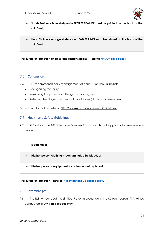

- **Sports Trainer – blue shirt/vest – SPORTS TRAINER must be printed on the back of the shirt/vest.**
- **Head Trainer – orange shirt/vest – HEAD TRAINER must be printed on the back of the shirt/vest.**

**For further information on roles and responsibilities – refer to [NRL On Field Policy](https://www.playrugbyleague.com/media/11096/nrl-on-field-policy_p005_v40_21022019-1.pdf?_ga=2.186502305.928592808.1639458492-1851551710.1633482972)**

#### 7.6 Concussion

7.6.1 RLB recommends early management of concussion should include:

- Recognising the injury,
- Removing the player from the game/training, and
- Referring the player to a medical practitioner (doctor) for assessment.

For further information, refer to NRL Concussion Management Guidelines.

#### 7.7 Health and Safety Guidelines

- 7.7.1 RLB adopts the NRL Infectious Diseases Policy and this will apply in all cases where a player is:
	- **Bleeding; or**
	- **His/her person clothing is contaminated by blood; or**
	- **His/her person's equipment is contaminated by blood**

**For further information – refer to [NRL Infections Diseases](https://www.playrugbyleague.com/media/11100/nrl_infectious-diseases-policyp002_21_011220202019-1.pdf) Policy.** 

#### 7.8 Interchanges

7.8.1 The RLB will conduct the Limited Player Interchange in the current season. This will be conducted in **Division 1 grades only.**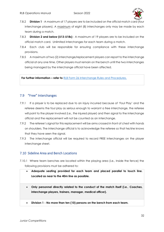

- 7.8.2 **Division 1** A maximum of 17 players are to be included on the official match card (four interchange players). A maximum of eight (8) interchanges only may be made by each team during a match.
- 7.8.3 **Division 2 and below (U13-U18s)** A maximum of 19 players are to be included on the official match card. Unlimited interchanges for each team during a match.
- 7.8.4 Each club will be responsible for ensuring compliance with these interchange provisions.
- 7.8.5 A maximum of two (2) interchange/replacement players can report to the interchange official at any one time. Other players must remain on the bench until the two interchanges being managed by the interchange official have been affected.

**For further information – refer to [RLB Form 26 Interchange Rules and Procedures.](https://www.rugbyleaguebrisbane.com.au/_files/ugd/a0779d_a02d2a3f1fd04b439748a221e248c1af.pdf)** 

#### 7.9 "Free" Interchanges

- 7.9.1 If a player is to be replaced due to an injury incurred because of 'Foul Play' and the referee deems the foul play as serious enough to warrant a free interchange, the referee will point to the player involved (i.e., the injured player) and then signal to the interchange official and the replacement will not be counted as an interchange.
- 7.9.2 The referee's signal for this replacement will be arms crossed in front of chest with hands on shoulders. The interchange official is to acknowledge the referee so that he/she knows that they have seen the signal.
- 7.9.3 The interchange official will be required to record FREE interchanges on the player interchange sheet.

#### 7.10 Sideline Area and Bench Locations

- 7.10.1 Where team benches are located within the playing area (i.e., Inside the fence) the following provisions must be adhered to:
	- **Adequate seating provided for each team and placed parallel to touch line. Located as near to the 40m line as possible.**
	- **Only personnel directly related to the conduct of the match itself (i.e.**, **Coaches, interchange players, trainers, manager, medical officer).**
	- **Division 1 - No more than ten (10) persons on the bench from each team.**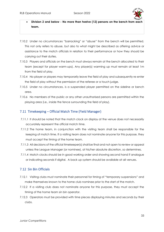

- **Division 2 and below - No more than twelve (12) persons on the bench from each team.**
- 7.10.2 Under no circumstances "barracking" or "abuse" from the bench will be permitted. This not only refers to abuse, but also to what might be described as offering advice or assistance to the match officials in relation to their performance or how they should be carrying out their duties.
- 7.10.3 Players and officials on the bench must always remain at the bench allocated to their team (except for player warm-ups). Any player(s) warming up must remain at least 1m from the field of play.
- 7.10.4 No player or players may temporarily leave the field of play and subsequently re-enter the field of play without the permission of the referee or a touch judge.
- 7.10.5 Under no circumstances, is a suspended player permitted on the sideline or bench area.
- 7.10.6 No members of the public or any other unauthorised persons are permitted within the playing area (i.e., inside the fence surrounding the field of play).

#### 7.11 Timekeeping – Official Match Time (Field Manager)

- 7.11.1 It should be noted that the match clock on display at the venue does not necessarily accurately represent the official match time.
- 7.11.2 The home team, in conjunction with the visiting team shall be responsible for the keeping of match time. If a visiting team does not nominate anyone for this purpose, they must accept the timing of the home team.
- 7.11.3 All decisions of the official timekeeper(s) shall be final and not open to review or appeal unless the League Manager (or nominee), at his/her absolute discretion, so determines.
- 7.11.4 Match clocks should be in good working order and showing second hand if analogue or indicating seconds if digital. A back up system should be available at all venues.

#### 7.12 Sin Bin Officials

- 7.12.1 Visiting clubs must nominate their personnel for timing of "temporary suspensions" and make themselves known to the home club nominee prior to the start of the match.
- 7.12.2 If a visiting club does not nominate anyone for this purpose, they must accept the timing of the home team sin bin operator.
- 7.12.3 Operators must be provided with time pieces displaying minutes and seconds by their clubs.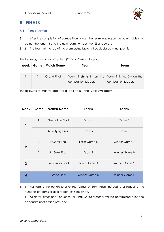

## <span id="page-34-0"></span>**8 FINALS**

#### 8.1 Finals Format

- 8.1.1 After the completion of competition fixtures the team leading on the points table shall be number one (1) and the next team number two (2) and so on.
- 8.1.2 The team at the top of the premiership table will be declared minor premiers.

The following format for a Top Two (2) Finals Series will apply:

| Week | Game   Match Name  | Team                                                                         | Team                |
|------|--------------------|------------------------------------------------------------------------------|---------------------|
|      | <b>Grand Final</b> | Team finishing 1st on the Team finishing $2nd$ on the<br>competition ladder. | competition ladder. |
|      |                    |                                                                              |                     |

The following format will apply for a Top Five (5) Finals Series will apply:

| Week           | Game         | <b>Match Name</b>          | Team          | Team                 |
|----------------|--------------|----------------------------|---------------|----------------------|
| 1              | $\mathsf{A}$ | <b>Elimination Final</b>   | Team 4        | Team 5               |
|                | B            | Qualifying Final           | Team 2        | Team 3               |
| $\overline{2}$ | $\mathsf{C}$ | 1st Semi Final             | Loser Game B  | Winner Game A        |
|                | $\mathsf{D}$ | 2 <sup>nd</sup> Semi Final | Team 1        | Winner Game B        |
| 3              | E            | <b>Preliminary Final</b>   | Loser Game D  | Winner Game C        |
| 4              | F            | <b>Grand Final</b>         | Winner Game D | <b>Winner Game E</b> |

- 8.1.3 RLB retains the option to alter the format of Semi Finals increasing or reducing the numbers of teams eligible to contest Semi Finals.
- 8.1.4 All dates, times and venues for all Finals Series Matches will be determined prior and adequate notification provided.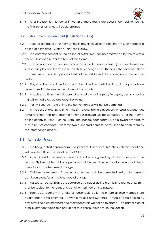

8.1.5 After the premiership rounds if two (2) or more teams are equal in competition points, the final series rankings will be determined.

#### 8.2 Extra Time – Golden Point (Finals Series Only)

- 8.2.1 If scores are equal after normal time in any Finals Series match, then in such matches a period of extra time – Golden Point, shall follow.
- 8.2.2 The commencement of the period of extra time shall be determined by the toss of a coin as described under the Laws of the Game.
- 8.2.3 If no point or points have been scored after the 1st period of five (5) minutes, the referee shall cease play and teams shall immediately change ends. The team that did not kick-off to commence the initial period of extra time, will kick-off to recommence the second period.
- 8.2.4 Play shall then continue for an unlimited time basis until the first point or points have been scored to determine the winner of the match.
- 8.2.5 In such extra time, the first scorer of any point or points (e.g., field goal, penalty goal or try) will immediately be declared the winner.
- 8.2.6 If a try is scored in extra time the conversion kick will not be permitted.
- 8.2.7 In the case of any 'Extra Time' (finals) matches being played, any unused interchanges remaining from the total maximum number allowed will be cancelled after the normal period of play (fulltime). For the 'Extra Time' period, each team will be allowed a maximum of two (2) interchanges, with these two numbered cards to be returned to each team by the interchange official.

#### 8.3 Admission Prices

- 8.3.1 The League shall confirm admission prices for Finals Series Matches with the Board and will provide sufficient notification to all Clubs.
- 8.3.2 Aged, invalid, and service pensions shall be recognised by all clubs throughout the season. Eligible holders of these pensions shall be permitted entry into general admission areas for all matches free of charge.
- 8.3.3 Children seventeen (17) years and under shall be permitted entry into general admission areas for all matches free of charge.
- 8.3.4 RLB season passes shall be recognised by all clubs during premiership rounds only. Entry shall be subject to the terms and conditions printed on the passes.
- 8.3.5 Each club secretary is to take all reasonable action to ensure all club members are aware that a gate entry fee is payable for all Finals Matches. Abuse of gate officials by host or visiting club members and their spectators will not be tolerated. The parent club of a guilty offender could also be subject to a fine/disciplinary tribunal action.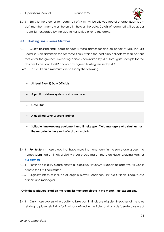

8.3.6 Entry to the grounds for team staff of six (6) will be allowed free of charge. Each team staff member's name must be on a list held at the gate. Details of team staff will be as per 'team list' forwarded by the club to RLB Office prior to the game.

#### 8.4 Hosting Finals Series Matches

- 8.4.1 Club's hosting finals gams conducts these games for and on behalf of RLB. The RLB Board sets an admission fee for these finals, which the host club collects from all persons that enter the grounds, excepting persons nominated by RLB. Total gate receipts for the day are to be paid to RLB and/or any agreed hosting fee set by RLB.
- 8.4.2 Host clubs as a minimum are to supply the following:



- 8.4.3 *For Juniors* those clubs that have more than one team in the same age group, the names submitted on finals eligibility sheet should match those on Player Grading Register **[RLB Form 05](https://www.rugbyleaguebrisbane.com.au/_files/ugd/a0779d_45185eab8fd94f889a766c0a4e38e32a.pdf)**
- 8.4.4 For finals eligibility please ensure all clubs run Player Stats Report at least two (2) weeks prior to the first finals match.
- 8.4.5 Eligibility lists must include all eligible players, coaches, First Aid Officers, Leaguesafe officers and managers.

#### **Only those players listed on the team list may participate in the match. No exceptions.**

8.4.6 Only those players who qualify to take part in finals are eligible. Breaches of the rules relating to player eligibility for finals as defined in the Rules and any deliberate playing of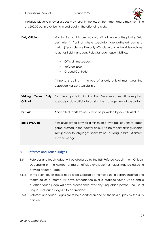

ineligible player/s in lower grades may result in the loss of the match and a maximum fine of \$500.00 per player being issued against the offending club.

| <b>Duty Officials</b>    | Maintaining a minimum two duty officials inside of the playing field    |
|--------------------------|-------------------------------------------------------------------------|
|                          | perimeter in front of where spectators are gathered during a            |
|                          | match (if possible, use five duty officials, two on either side and one |
|                          | to act as field manager). Field Manager responsibilities:               |
|                          | Official timekeeper.                                                    |
|                          | Referee Escorts                                                         |
|                          | <b>Ground Controller</b>                                                |
|                          | All persons acting in the role of a duty official must wear the         |
|                          | approved RLB Duty Official bib.                                         |
| Visiting<br>Team<br>Duty | Each team participating in a Final Series matches will be required      |
|                          | to supply a duty official to assist in the management of spectators.    |
| <b>Official</b>          |                                                                         |
| <b>First Aid</b>         | Accredited sports trainers are to be provided by each host club.        |
| <b>Ball Boys/Girls</b>   | Host clubs are to provide a minimum of two ball persons for each        |
|                          | game dressed in the neutral colours to be readily distinguishable       |
|                          | from players, touch judges, sports trainer, or League safe. Minimum     |
|                          | 10 years of age.                                                        |

#### 8.5 Referees and Touch Judges

- 8.5.1 Referees and touch judges will be allocated by the RLB Referee Appointment Officers. Depending on the number of match officials available host clubs may be asked to provide a touch judge.
- 8.5.2 In the event touch judges need to be supplied by the host club, a person qualified and registered as a referee will have precedence over a qualified touch judge and a qualified touch judge will have precedence over any unqualified person. The use of unqualified touch judges is to be avoided.
- 8.5.3 Referees and touch judges are to be escorted on and off the field of play by the duty officials.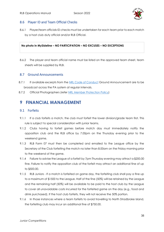

#### 8.6 Player ID and Team Official Checks

8.6.1 Player/team officials ID checks must be undertaken for each team prior to each match by a host club duty official and/or RLB Official.

#### **No photo in MySideline – NO PARTICIPATION – NO EXCUSES – NO EXCEPTIONS**

8.6.2 The player and team official name must be listed on the approved team sheet, team sheets will be supplied by RLB.

#### 8.7 Ground Announcements

- 8.7.1 If available excerpts from the [NRL Code of Conduct](https://www.playrugbyleague.com/media/9949/2020nrl-dev19_code_of_conduct_v4.pdf) Ground Announcement are to be broadcast across the PA system at regular intervals.
- 8.7.2 Official Photographers (refer [NRL Member Protection Policy\)](https://www.playrugbyleague.com/media/1939/nrl-member-protection-policy-revised-27072015-002.pdf)

## <span id="page-38-0"></span>**9 FINANCIAL MANAGEMENT**

#### 9.1 Forfeits

- 9.1.1 If a club forfeits a match, the club must forfeit the lower division/grade team first. This rule is subject to special consideration with junior teams.
- 9.1.2 Clubs having to forfeit games before match day must immediately notify the opposition club and the RLB office by 7.00pm on the Thursday evening prior to the weekend game.
- 9.1.3 [RLB Form 07](https://781a37eb-2439-4df7-8027-996dae519650.filesusr.com/ugd/a0779d_a6fb52d94010443d903aa50b5a36dfd1.pdf) must then be completed and emailed to the League office by the Secretary of the Club forfeiting the match no later than 8.00am on the Friday morning prior to the weekend of the game.
- 9.1.4 Failure to advise the League of a forfeit by 7pm Thursday evening may attract a \$200.00 fine. Failure to notify the opposition club of the forfeit may attract an additional fine of up to \$500.00.
- 9.1.5 RLB Juniors If a match is forfeited on game day, the forfeiting club shall pay a fine up to a maximum of \$1500 to the League. Half of the fine (50%) will be retained by the League and the remaining half (50%) will be available to be paid to the host club by the League to cover all unavoidable costs incurred for the forfeited game on the day (e.g., food and drink purchased). If the host club forfeits, they will not receive the 50% portion.
- 9.1.6 In those instances where a team forfeits to avoid travelling to North Stradbroke Island, the forfeiting club may incur an additional fine of \$750.00.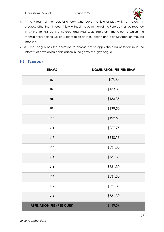

- 9.1.7 Any team or members of a team who leave the field of play whilst a match is in progress, other than through injury, without the permission of the Referee must be reported in writing to RLB by the Referee and Host Club Secretary. The Club to which the team/players belong will be subject to disciplinary action and a fine/suspension may be imposed.
- 9.1.8 The League has the discretion to choose not to apply the rules of forfeiture in the interests of developing participation in the game of rugby league.

#### 9.2 Team Levy

| <b>TEAMS</b>                      | <b>NOMINATION FEE PER TEAM</b> |
|-----------------------------------|--------------------------------|
| U6                                | \$69.30                        |
| U7                                | \$133.35                       |
| U8                                | \$133.35                       |
| U9                                | \$199.50                       |
| U10                               | \$199.50                       |
| U11                               | \$267.75                       |
| U12                               | \$360.13                       |
| U13                               | \$531.30                       |
| U14                               | \$531.30                       |
| U15                               | \$531.30                       |
| U16                               | \$531.30                       |
| <b>U17</b>                        | \$531.30                       |
| U18                               | \$531.30                       |
| <b>AFFILIATION FEE (PER CLUB)</b> | \$449.59                       |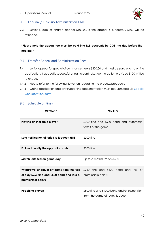

#### 9.3 Tribunal / Judiciary Administration Fees

9.3.1 Junior Grade or charge appeal \$100.00, if the appeal is successful, \$100 will be refunded.

**\*Please note the appeal fee must be paid into RLB accounts by COB the day before the hearing. \***

#### 9.4 Transfer Appeal and Administration Fees

- 9.4.1 Junior appeal for special circumstances fee is \$200.00 and must be paid prior to online application. If appeal is successful or participant takes up the option provided \$100 will be refunded.
- 9.4.2 Please refer to the following flowchart regarding the [process/procedure.](https://www.rugbyleaguebrisbane.com.au/_files/ugd/a0779d_b1239cebf8f84d0b82cc9538c94fd2ef.pdf)
- 9.4.3 Online application and any supporting documentation must be submitted via Special [Considerations form.](https://www.cognitoforms.com/QueenslandRugbyLeague1/Brisbane2022ClearanceSpecialConsiderations)

#### 9.5 Schedule of Fines

| <b>OFFENCE</b>                                                                                                      | <b>PENALTY</b>                                                                |
|---------------------------------------------------------------------------------------------------------------------|-------------------------------------------------------------------------------|
| Playing an ineligible player                                                                                        | \$300 fine and \$500 bond and automatic<br>forfeit of the game                |
| Late notification of forfeit to league (RLB)                                                                        | \$200 fine                                                                    |
| Failure to notify the opposition club                                                                               | \$500 fine                                                                    |
| Match forfeited on game day                                                                                         | Up to a maximum of \$1500                                                     |
| Withdrawal of player or teams from the field<br>of play \$250 fine and \$500 bond and loss of<br>premiership points | \$250 fine and \$500 bond and loss of<br>premiership points                   |
| <b>Poaching players</b>                                                                                             | \$500 fine and \$1000 bond and/or suspension<br>from the game of rugby league |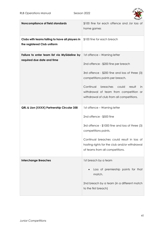

| Noncompliance of field standards                                               | \$100 fine for each offence and /or loss of<br>home games                                                                                                                                                                                                                                          |
|--------------------------------------------------------------------------------|----------------------------------------------------------------------------------------------------------------------------------------------------------------------------------------------------------------------------------------------------------------------------------------------------|
| Clubs with teams failing to have all players in<br>the registered Club uniform | \$100 fine for each breach                                                                                                                                                                                                                                                                         |
| Failure to enter team list via MySideline by<br>required due date and time     | 1st offence - Warning letter<br>2nd offence - \$200 fine per breach<br>3rd offence - \$200 fine and loss of three (3)<br>competitions points per breach.<br>Continual<br>breaches<br>could<br>result<br>in.<br>withdrawal of team from competition or<br>withdrawal of club from all competitions. |
| QRL & Lion (XXXX) Partnership Circular 358                                     | 1st offence – Warning letter<br>2nd offence - \$500 fine<br>3rd offence - \$1000 fine and loss of three (3)<br>competitions points.<br>Continual breaches could result in loss of<br>hosting rights for the club and/or withdrawal<br>of teams from all competitions.                              |
| <b>Interchange Breaches</b>                                                    | 1st breach by a team<br>Loss of premiership points for that<br>match.<br>2nd breach by a team (in a different match<br>to the first breach)                                                                                                                                                        |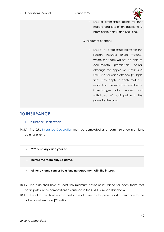

• Loss of premiership points for that match; and loss of an additional 3 premiership points; and \$500 fine.

#### Subsequent offences

• Loss of all premiership points for the season (includes future matches where the team will not be able to accumulate premiership points, although the opposition may); and \$500 fine for each offence (multiple fines may apply in each match if more than the maximum number of interchanges take place); and withdrawal of participation in the game by the coach.

### <span id="page-42-0"></span>**10 INSURANCE**

#### 10.1 Insurance Declaration

- 10.1.1 The QRL [Insurance Declaration](https://sport.ajg.com.au/qld-rugby-league/declaration/) must be completed and team insurance premiums paid for prior to:
	- **28th February each year or** 
		- **before the team plays a game,**
		- **either by lump sum or by a funding agreement with the insurer.**
- 10.1.2 The club shall hold at least the minimum cover of insurance for each team that participates in the competitions as outlined in the QRL Insurance Handbook.
- 10.1.3 The club shall hold a valid certificate of currency for public liability insurance to the value of not less than \$20 million.